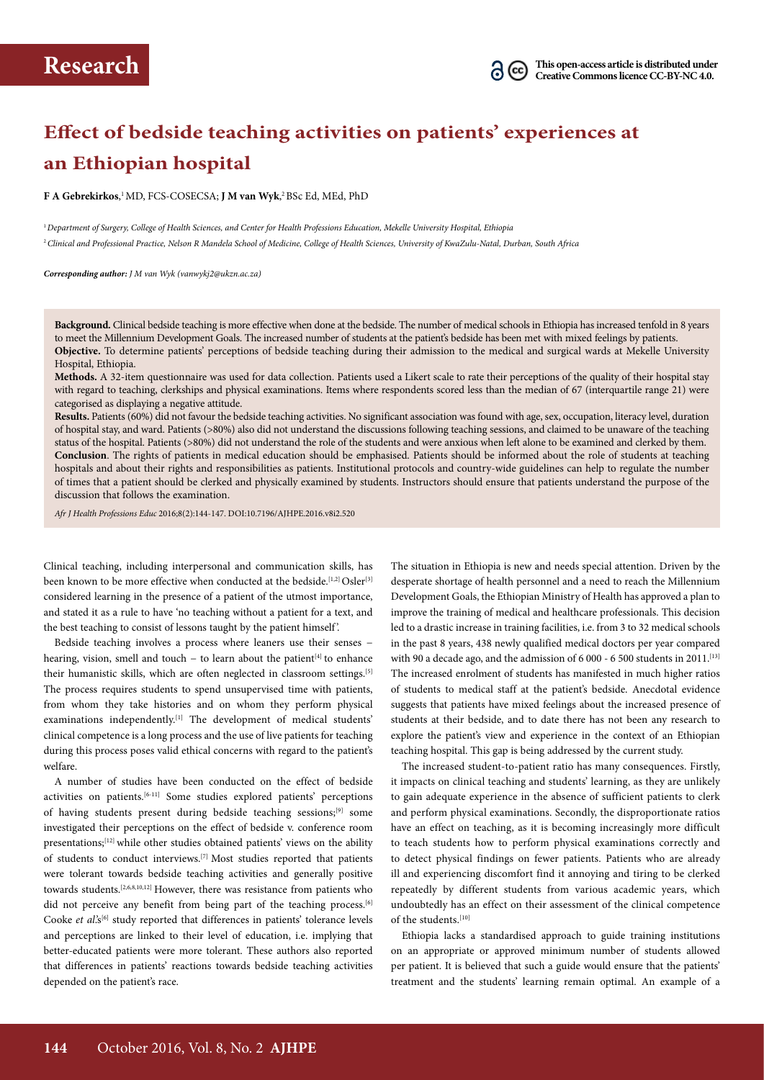# **Effect of bedside teaching activities on patients' experiences at an Ethiopian hospital**

**F A Gebrekirkos**, 1 MD, FCS-COSECSA; **J M van Wyk**, 2 BSc Ed, MEd, PhD

<sup>1</sup>*Department of Surgery, College of Health Sciences, and Center for Health Professions Education, Mekelle University Hospital, Ethiopia* <sup>2</sup>*Clinical and Professional Practice, Nelson R Mandela School of Medicine, College of Health Sciences, University of KwaZulu-Natal, Durban, South Africa*

*Corresponding author: J M van Wyk (vanwykj2@ukzn.ac.za)*

**Background.** Clinical bedside teaching is more effective when done at the bedside. The number of medical schools in Ethiopia has increased tenfold in 8 years to meet the Millennium Development Goals. The increased number of students at the patient's bedside has been met with mixed feelings by patients. **Objective.** To determine patients' perceptions of bedside teaching during their admission to the medical and surgical wards at Mekelle University Hospital, Ethiopia.

**Methods.** A 32-item questionnaire was used for data collection. Patients used a Likert scale to rate their perceptions of the quality of their hospital stay with regard to teaching, clerkships and physical examinations. Items where respondents scored less than the median of 67 (interquartile range 21) were categorised as displaying a negative attitude.

**Results.** Patients (60%) did not favour the bedside teaching activities. No significant association was found with age, sex, occupation, literacy level, duration of hospital stay, and ward. Patients (>80%) also did not understand the discussions following teaching sessions, and claimed to be unaware of the teaching status of the hospital. Patients (>80%) did not understand the role of the students and were anxious when left alone to be examined and clerked by them. **Conclusion**. The rights of patients in medical education should be emphasised. Patients should be informed about the role of students at teaching hospitals and about their rights and responsibilities as patients. Institutional protocols and country-wide guidelines can help to regulate the number of times that a patient should be clerked and physically examined by students. Instructors should ensure that patients understand the purpose of the discussion that follows the examination.

*Afr J Health Professions Educ* 2016;8(2):144-147. DOI:10.7196/AJHPE.2016.v8i2.520

Clinical teaching, including interpersonal and communication skills, has been known to be more effective when conducted at the bedside.<sup>[1,2]</sup> Osler<sup>[3]</sup> considered learning in the presence of a patient of the utmost importance, and stated it as a rule to have 'no teaching without a patient for a text, and the best teaching to consist of lessons taught by the patient himself '.

Bedside teaching involves a process where leaners use their senses − hearing, vision, smell and touch – to learn about the patient<sup>[4]</sup> to enhance their humanistic skills, which are often neglected in classroom settings.[5] The process requires students to spend unsupervised time with patients, from whom they take histories and on whom they perform physical examinations independently.<sup>[1]</sup> The development of medical students' clinical competence is a long process and the use of live patients for teaching during this process poses valid ethical concerns with regard to the patient's welfare.

A number of studies have been conducted on the effect of bedside activities on patients.<sup>[6-11]</sup> Some studies explored patients' perceptions of having students present during bedside teaching sessions;[9] some investigated their perceptions on the effect of bedside v. conference room presentations;<sup>[12]</sup> while other studies obtained patients' views on the ability of students to conduct interviews.[7] Most studies reported that patients were tolerant towards bedside teaching activities and generally positive towards students.[2,6,8,10,12] However, there was resistance from patients who did not perceive any benefit from being part of the teaching process.<sup>[6]</sup> Cooke *et al*.'s<sup>[6]</sup> study reported that differences in patients' tolerance levels and perceptions are linked to their level of education, i.e. implying that better-educated patients were more tolerant. These authors also reported that differences in patients' reactions towards bedside teaching activities depended on the patient's race.

The situation in Ethiopia is new and needs special attention. Driven by the desperate shortage of health personnel and a need to reach the Millennium Development Goals, the Ethiopian Ministry of Health has approved a plan to improve the training of medical and healthcare professionals. This decision led to a drastic increase in training facilities, i.e. from 3 to 32 medical schools in the past 8 years, 438 newly qualified medical doctors per year compared with 90 a decade ago, and the admission of  $6000 - 6500$  students in  $2011$ .<sup>[13]</sup> The increased enrolment of students has manifested in much higher ratios of students to medical staff at the patient's bedside. Anecdotal evidence suggests that patients have mixed feelings about the increased presence of students at their bedside, and to date there has not been any research to explore the patient's view and experience in the context of an Ethiopian teaching hospital. This gap is being addressed by the current study.

The increased student-to-patient ratio has many consequences. Firstly, it impacts on clinical teaching and students' learning, as they are unlikely to gain adequate experience in the absence of sufficient patients to clerk and perform physical examinations. Secondly, the disproportionate ratios have an effect on teaching, as it is becoming increasingly more difficult to teach students how to perform physical examinations correctly and to detect physical findings on fewer patients. Patients who are already ill and experiencing discomfort find it annoying and tiring to be clerked repeatedly by different students from various academic years, which undoubtedly has an effect on their assessment of the clinical competence of the students.<sup>[10]</sup>

Ethiopia lacks a standardised approach to guide training institutions on an appropriate or approved minimum number of students allowed per patient. It is believed that such a guide would ensure that the patients' treatment and the students' learning remain optimal. An example of a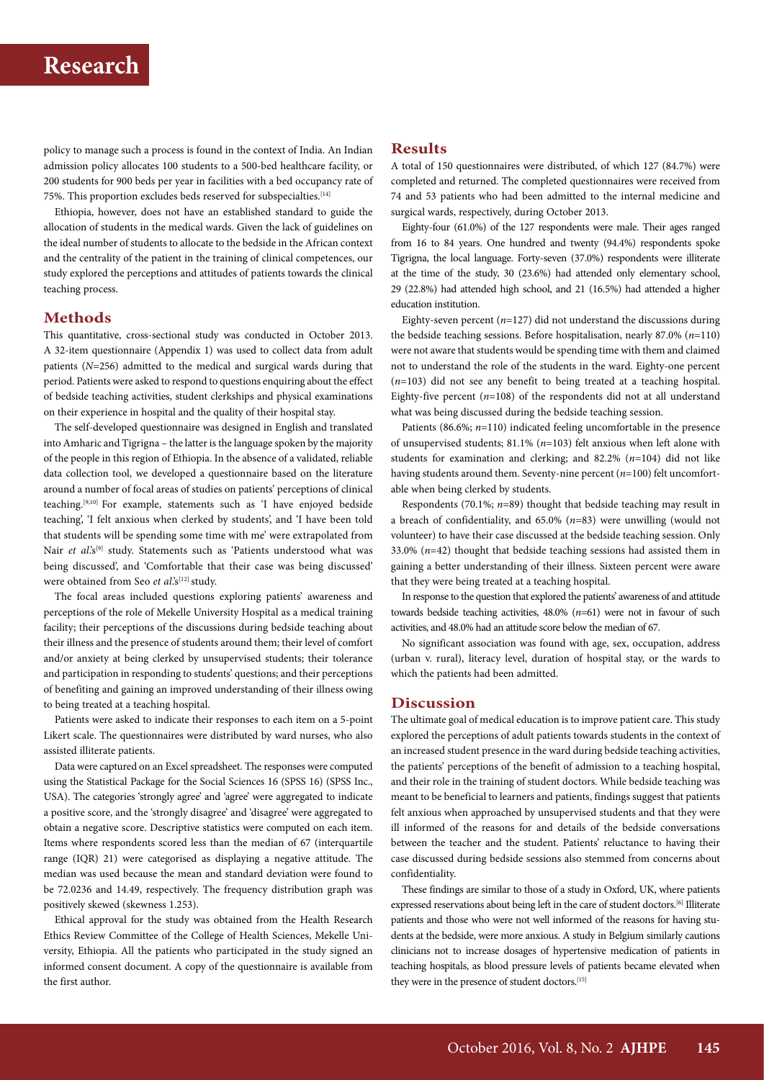# **Research**

policy to manage such a process is found in the context of India. An Indian admission policy allocates 100 students to a 500-bed healthcare facility, or 200 students for 900 beds per year in facilities with a bed occupancy rate of 75%. This proportion excludes beds reserved for subspecialties.<sup>[14]</sup>

Ethiopia, however, does not have an established standard to guide the allocation of students in the medical wards. Given the lack of guidelines on the ideal number of students to allocate to the bedside in the African context and the centrality of the patient in the training of clinical competences, our study explored the perceptions and attitudes of patients towards the clinical teaching process.

### **Methods**

This quantitative, cross-sectional study was conducted in October 2013. A 32-item questionnaire (Appendix 1) was used to collect data from adult patients (*N*=256) admitted to the medical and surgical wards during that period. Patients were asked to respond to questions enquiring about the effect of bedside teaching activities, student clerkships and physical examinations on their experience in hospital and the quality of their hospital stay.

The self-developed questionnaire was designed in English and translated into Amharic and Tigrigna – the latter is the language spoken by the majority of the people in this region of Ethiopia. In the absence of a validated, reliable data collection tool, we developed a questionnaire based on the literature around a number of focal areas of studies on patients' perceptions of clinical teaching.[9,10] For example, statements such as 'I have enjoyed bedside teaching', 'I felt anxious when clerked by students', and 'I have been told that students will be spending some time with me' were extrapolated from Nair et al'.s<sup>[9]</sup> study. Statements such as 'Patients understood what was being discussed', and 'Comfortable that their case was being discussed' were obtained from Seo *et al*.'s<sup>[12]</sup> study.

The focal areas included questions exploring patients' awareness and perceptions of the role of Mekelle University Hospital as a medical training facility; their perceptions of the discussions during bedside teaching about their illness and the presence of students around them; their level of comfort and/or anxiety at being clerked by unsupervised students; their tolerance and participation in responding to students' questions; and their perceptions of benefiting and gaining an improved understanding of their illness owing to being treated at a teaching hospital.

Patients were asked to indicate their responses to each item on a 5-point Likert scale. The questionnaires were distributed by ward nurses, who also assisted illiterate patients.

Data were captured on an Excel spreadsheet. The responses were computed using the Statistical Package for the Social Sciences 16 (SPSS 16) (SPSS Inc., USA). The categories 'strongly agree' and 'agree' were aggregated to indicate a positive score, and the 'strongly disagree' and 'disagree' were aggregated to obtain a negative score. Descriptive statistics were computed on each item. Items where respondents scored less than the median of 67 (interquartile range (IQR) 21) were categorised as displaying a negative attitude. The median was used because the mean and standard deviation were found to be 72.0236 and 14.49, respectively. The frequency distribution graph was positively skewed (skewness 1.253).

Ethical approval for the study was obtained from the Health Research Ethics Review Committee of the College of Health Sciences, Mekelle University, Ethiopia. All the patients who participated in the study signed an informed consent document. A copy of the questionnaire is available from the first author.

### **Results**

A total of 150 questionnaires were distributed, of which 127 (84.7%) were completed and returned. The completed questionnaires were received from 74 and 53 patients who had been admitted to the internal medicine and surgical wards, respectively, during October 2013.

Eighty-four (61.0%) of the 127 respondents were male. Their ages ranged from 16 to 84 years. One hundred and twenty (94.4%) respondents spoke Tigrigna, the local language. Forty-seven (37.0%) respondents were illiterate at the time of the study, 30 (23.6%) had attended only elementary school, 29 (22.8%) had attended high school, and 21 (16.5%) had attended a higher education institution.

Eighty-seven percent (*n*=127) did not understand the discussions during the bedside teaching sessions. Before hospitalisation, nearly 87.0% (*n*=110) were not aware that students would be spending time with them and claimed not to understand the role of the students in the ward. Eighty-one percent (*n*=103) did not see any benefit to being treated at a teaching hospital. Eighty-five percent (*n*=108) of the respondents did not at all understand what was being discussed during the bedside teaching session.

Patients (86.6%; *n*=110) indicated feeling uncomfortable in the presence of unsupervised students; 81.1% (*n*=103) felt anxious when left alone with students for examination and clerking; and 82.2% (*n*=104) did not like having students around them. Seventy-nine percent (*n*=100) felt uncomfortable when being clerked by students.

Respondents (70.1%; *n*=89) thought that bedside teaching may result in a breach of confidentiality, and 65.0% (*n*=83) were unwilling (would not volunteer) to have their case discussed at the bedside teaching session. Only 33.0% (*n*=42) thought that bedside teaching sessions had assisted them in gaining a better understanding of their illness. Sixteen percent were aware that they were being treated at a teaching hospital.

In response to the question that explored the patients' awareness of and attitude towards bedside teaching activities, 48.0% (*n*=61) were not in favour of such activities, and 48.0% had an attitude score below the median of 67.

No significant association was found with age, sex, occupation, address (urban v. rural), literacy level, duration of hospital stay, or the wards to which the patients had been admitted.

### **Discussion**

The ultimate goal of medical education is to improve patient care. This study explored the perceptions of adult patients towards students in the context of an increased student presence in the ward during bedside teaching activities, the patients' perceptions of the benefit of admission to a teaching hospital, and their role in the training of student doctors. While bedside teaching was meant to be beneficial to learners and patients, findings suggest that patients felt anxious when approached by unsupervised students and that they were ill informed of the reasons for and details of the bedside conversations between the teacher and the student. Patients' reluctance to having their case discussed during bedside sessions also stemmed from concerns about confidentiality.

These findings are similar to those of a study in Oxford, UK, where patients expressed reservations about being left in the care of student doctors.<sup>[6]</sup> Illiterate patients and those who were not well informed of the reasons for having students at the bedside, were more anxious. A study in Belgium similarly cautions clinicians not to increase dosages of hypertensive medication of patients in teaching hospitals, as blood pressure levels of patients became elevated when they were in the presence of student doctors.<sup>[15]</sup>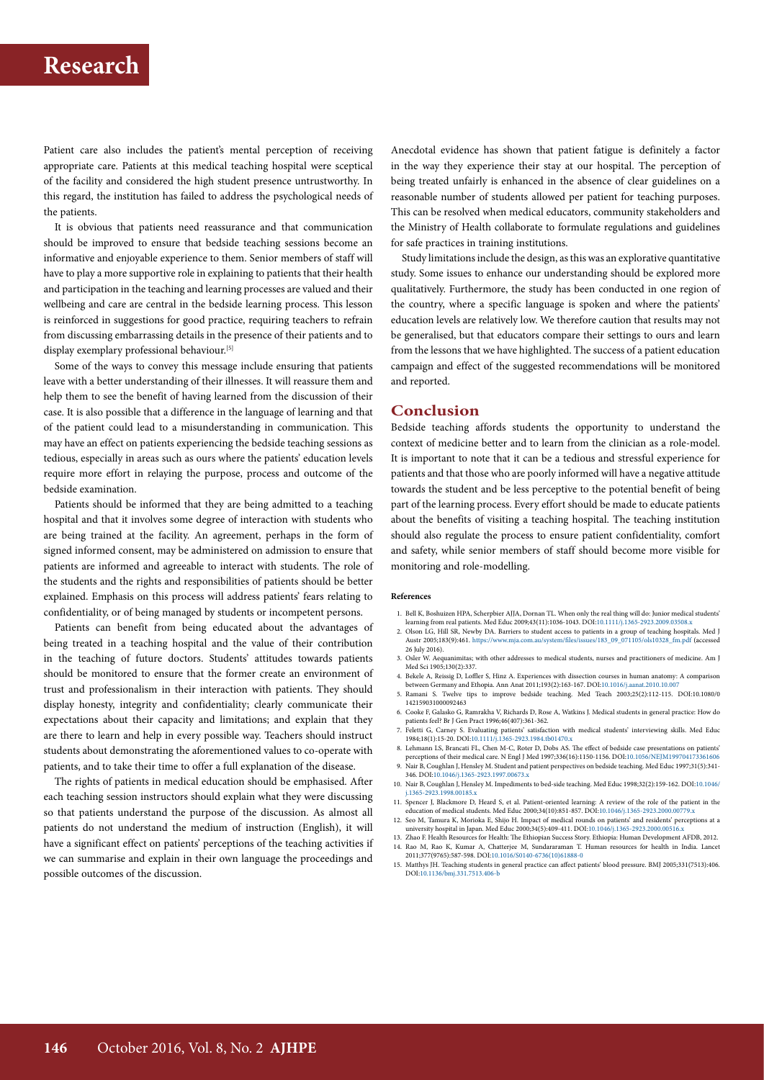# **Research**

Patient care also includes the patient's mental perception of receiving appropriate care. Patients at this medical teaching hospital were sceptical of the facility and considered the high student presence untrustworthy. In this regard, the institution has failed to address the psychological needs of the patients.

It is obvious that patients need reassurance and that communication should be improved to ensure that bedside teaching sessions become an informative and enjoyable experience to them. Senior members of staff will have to play a more supportive role in explaining to patients that their health and participation in the teaching and learning processes are valued and their wellbeing and care are central in the bedside learning process. This lesson is reinforced in suggestions for good practice, requiring teachers to refrain from discussing embarrassing details in the presence of their patients and to display exemplary professional behaviour.<sup>[5]</sup>

Some of the ways to convey this message include ensuring that patients leave with a better understanding of their illnesses. It will reassure them and help them to see the benefit of having learned from the discussion of their case. It is also possible that a difference in the language of learning and that of the patient could lead to a misunderstanding in communication. This may have an effect on patients experiencing the bedside teaching sessions as tedious, especially in areas such as ours where the patients' education levels require more effort in relaying the purpose, process and outcome of the bedside examination.

Patients should be informed that they are being admitted to a teaching hospital and that it involves some degree of interaction with students who are being trained at the facility. An agreement, perhaps in the form of signed informed consent, may be administered on admission to ensure that patients are informed and agreeable to interact with students. The role of the students and the rights and responsibilities of patients should be better explained. Emphasis on this process will address patients' fears relating to confidentiality, or of being managed by students or incompetent persons.

Patients can benefit from being educated about the advantages of being treated in a teaching hospital and the value of their contribution in the teaching of future doctors. Students' attitudes towards patients should be monitored to ensure that the former create an environment of trust and professionalism in their interaction with patients. They should display honesty, integrity and confidentiality; clearly communicate their expectations about their capacity and limitations; and explain that they are there to learn and help in every possible way. Teachers should instruct students about demonstrating the aforementioned values to co-operate with patients, and to take their time to offer a full explanation of the disease.

The rights of patients in medical education should be emphasised. After each teaching session instructors should explain what they were discussing so that patients understand the purpose of the discussion. As almost all patients do not understand the medium of instruction (English), it will have a significant effect on patients' perceptions of the teaching activities if we can summarise and explain in their own language the proceedings and possible outcomes of the discussion.

Anecdotal evidence has shown that patient fatigue is definitely a factor in the way they experience their stay at our hospital. The perception of being treated unfairly is enhanced in the absence of clear guidelines on a reasonable number of students allowed per patient for teaching purposes. This can be resolved when medical educators, community stakeholders and the Ministry of Health collaborate to formulate regulations and guidelines for safe practices in training institutions.

Study limitations include the design, as this was an explorative quantitative study. Some issues to enhance our understanding should be explored more qualitatively. Furthermore, the study has been conducted in one region of the country, where a specific language is spoken and where the patients' education levels are relatively low. We therefore caution that results may not be generalised, but that educators compare their settings to ours and learn from the lessons that we have highlighted. The success of a patient education campaign and effect of the suggested recommendations will be monitored and reported.

#### **Conclusion**

Bedside teaching affords students the opportunity to understand the context of medicine better and to learn from the clinician as a role-model. It is important to note that it can be a tedious and stressful experience for patients and that those who are poorly informed will have a negative attitude towards the student and be less perceptive to the potential benefit of being part of the learning process. Every effort should be made to educate patients about the benefits of visiting a teaching hospital. The teaching institution should also regulate the process to ensure patient confidentiality, comfort and safety, while senior members of staff should become more visible for monitoring and role-modelling.

#### **References**

- 1. Bell K, Boshuizen HPA, Scherpbier AJJA, Dornan TL. When only the real thing will do: Junior medical students' learning from real patients. Med Educ 2009;43(11):1036-1043. DOI[:10.1111/j.1365-2923.2009.03508.x](http://ap.psychiatryonline.org)
- 2. Olson LG, Hill SR, Newby DA. Barriers to student access to patients in a group of teaching hospitals. Med J Austr 2005;183(9):461. [https://www.mja.com.au/system/files/issues/183\\_09\\_071105/ols10328\\_fm.pdf](https://www.mja.com.au/system/files/issues/183_09_071105/ols10328_fm.pdf) (accessed
- 26 July 2016). animitas; with other addresses to medical students, nurses and practitioners of medicine. Am J Med Sci 1905;130(2):337
- 4. Bekele A, Reissig D, Loffler S, Hinz A. Experiences with dissection courses in human anatomy: A comparison between Germany and Ethopia. Ann Anat 2011;193(2):163-167. DOI:[10.1016/j.aanat.2010.10.007](http://dx.doi.org/10.1016/j.aanat.2010.10.007)
- 5. Ramani S. Twelve tips to improve bedside teaching. Med Teach 2003;25(2):112-115. DOI:10.1080/0 142159031000092463
- 6. Cooke F, Galasko G, Ramrakha V, Richards D, Rose A, Watkins J. Medical students in general practice: How do patients feel? Br J Gen Pract 1996;46(407):361-362.
- 7. Feletti G, Carney S. Evaluating patients' satisfaction with medical students' interviewing skills. Med Educ 1984;18(1):15-20. DOI[:10.1111/j.1365-2923.1984.tb01470.x](http://dx.doi.org/10.1111/j.1365-2923.1984.tb01470.x)
- 8. Lehmann LS, Brancati FL, Chen M-C, Roter D, Dobs AS. The effect of bedside case presentations on patients' perceptions of their medical care. N Engl J Med 1997;336(16):1150-1156. DOI[:10.1056/NEJM199704173361606](http://dx.doi.org/10.1056/NEJM199704173361606) 9. Nair B, Coughlan J, Hensley M. Student and patient perspectives on bedside teaching. Med Educ 1997;31(5):341- 346. DOI:[10.1046/j.1365-2923.1997.00673.x](http://dx.doi.org/10.1046/j.1365-2923.1997.00673.x )
- 10. Nair B, Coughlan J, Hensley M. Impediments to bed-side teaching. Med Educ 1998;32(2):159-162. DOI[:10.1046/](http://dx.doi.org/10.1046/j.1365-2923.1998.00185.x) [j.1365-2923.1998.00185.x](http://dx.doi.org/10.1046/j.1365-2923.1998.00185.x)
- 11. Spencer J, Blackmore D, Heard S, et al. Patient-oriented learning: A review of the role of the patient in the education of medical students. Med Educ 2000;34(10):851-857. DOI:[10.1046/j.1365-2923.2000.00779.x](http://dx.doi.org/10.1046/j.1365-2923.2000.00779.x)
- 12. Seo M, Tamura K, Morioka E, Shijo H. Impact of medical rounds on patients' and residents' perceptions at a university hospital in Japan. Med Educ 2000;34(5):409-411. DOI:[10.1046/j.1365-2923.2000.00516.x](http://dx.doi.org/10.1046/j.1365-2923.2000.00516.x)
- 13. Zhao F. Health Resources for Health: The Ethiopian Success Story. Ethiopia: Human Development AFDB, 2012. 14. Rao M, Rao K, Kumar A, Chatterjee M, Sundararaman T. Human resources for health in India. Lancet
- 2011;377(9765):587-598. DOI[:10.1016/S0140-6736\(10\)61888-0](http://dx.doi.org/10.1016/S0140-6736(10)61888-0) 15. Matthys JH. Teaching students in general practice can affect patients' blood pressure. BMJ 2005;331(7513):406. DOI[:10.1136/bmj.331.7513.406-b](http://dx.doi.org/10.1136/bmj.331.7513.406-b)